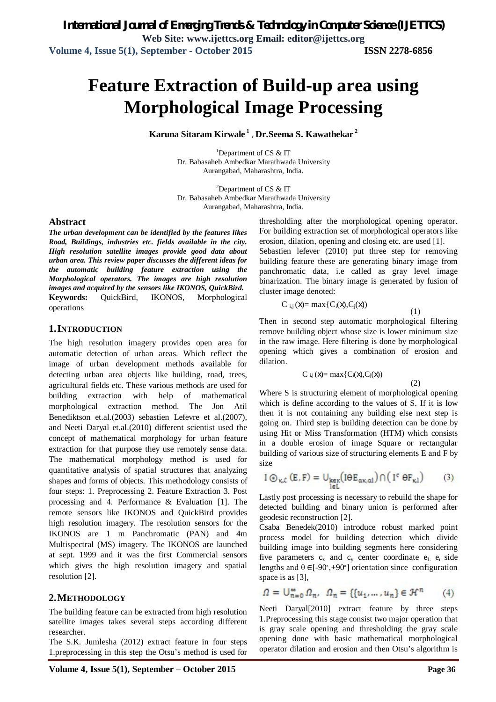# **Feature Extraction of Build-up area using Morphological Image Processing**

**Karuna Sitaram Kirwale <sup>1</sup>** , **Dr.Seema S. Kawathekar <sup>2</sup>**

<sup>1</sup>Department of CS  $\&$  IT Dr. Babasaheb Ambedkar Marathwada University Aurangabad, Maharashtra, India.

<sup>2</sup>Department of CS  $&$  IT Dr. Babasaheb Ambedkar Marathwada University Aurangabad, Maharashtra, India.

#### **Abstract**

*The urban development can be identified by the features likes Road, Buildings, industries etc. fields available in the city. High resolution satellite images provide good data about urban area. This review paper discusses the different ideas for the automatic building feature extraction using the Morphological operators. The images are high resolution images and acquired by the sensors like IKONOS, QuickBird.* **Keywords:** QuickBird, IKONOS, Morphological operations

#### **1.INTRODUCTION**

The high resolution imagery provides open area for automatic detection of urban areas. Which reflect the image of urban development methods available for detecting urban area objects like building, road, trees, agricultural fields etc. These various methods are used for building extraction with help of mathematical morphological extraction method. The Jon Atil Benediktson et.al.(2003) sebastien Lefevre et al.(2007), and Neeti Daryal et.al.(2010) different scientist used the concept of mathematical morphology for urban feature extraction for that purpose they use remotely sense data. The mathematical morphology method is used for quantitative analysis of spatial structures that analyzing shapes and forms of objects. This methodology consists of four steps: 1. Preprocessing 2. Feature Extraction 3. Post processing and 4. Performance & Evaluation [1]. The remote sensors like IKONOS and QuickBird provides high resolution imagery. The resolution sensors for the IKONOS are 1 m Panchromatic (PAN) and 4m Multispectral (MS) imagery. The IKONOS are launched at sept. 1999 and it was the first Commercial sensors which gives the high resolution imagery and spatial resolution [2].

### **2.METHODOLOGY**

The building feature can be extracted from high resolution satellite images takes several steps according different researcher.

The S.K. Jumlesha (2012) extract feature in four steps 1.preprocessing in this step the Otsu's method is used for thresholding after the morphological opening operator. For building extraction set of morphological operators like erosion, dilation, opening and closing etc. are used [1].

Sebastien lefever (2010) put three step for removing building feature these are generating binary image from panchromatic data, i.e called as gray level image binarization. The binary image is generated by fusion of cluster image denoted:

$$
C_{i,j}(X) = max\{C_i(X), C_j(X)\}\
$$

Then in second step automatic morphological filtering remove building object whose size is lower minimum size in the raw image. Here filtering is done by morphological opening which gives a combination of erosion and dilation.

(1)

(2)

$$
C_{i,j}(x) = \max\{C_i(x), C_j(x))
$$

Where S is structuring element of morphological opening which is define according to the values of S. If it is low then it is not containing any building else next step is going on. Third step is building detection can be done by using Hit or Miss Transformation (HTM) which consists in a double erosion of image Square or rectangular building of various size of structuring elements E and F by size

$$
I \circledcirc_{\kappa, \mathcal{E}} (E, F) = \cup_{\substack{k \in \kappa \\ l \in L}} (I \circ E_{\alpha \kappa, \alpha l}) \cap (I^c \circ F_{\kappa l}) \qquad (3)
$$

Lastly post processing is necessary to rebuild the shape for detected building and binary union is performed after geodesic reconstruction [2].

Csaba Benedek(2010) introduce robust marked point process model for building detection which divide building image into building segments here considering five parameters  $c_x$  and  $c_y$  center coordinate  $e_L$   $e_t$  side lengths and θ ∈[-90<sup>∘</sup> ,+90∘] orientation since configuration space is as [3],

$$
\varOmega = \mathbb{U}^{\infty}_{n=0}\varOmega_n, \ \varOmega_n = \{\{u_1, \ldots, u_n\} \in \mathcal{H}^n \qquad (4)
$$

Neeti Daryal[2010] extract feature by three steps 1.Preprocessing this stage consist two major operation that is gray scale opening and thresholding the gray scale opening done with basic mathematical morphological operator dilation and erosion and then Otsu's algorithm is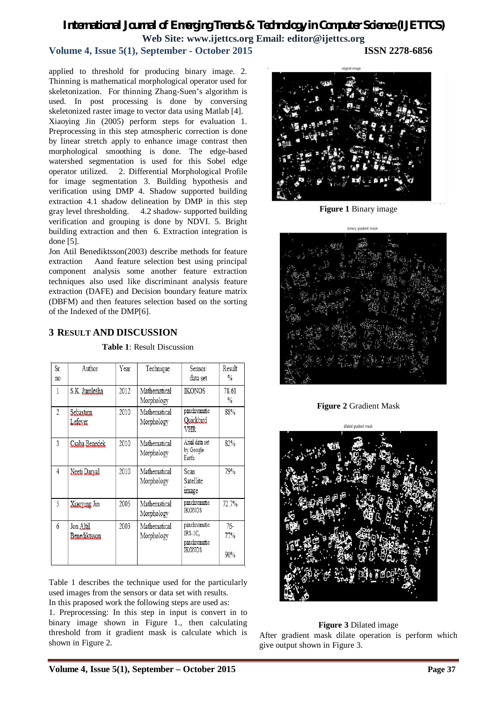## *International Journal of Emerging Trends & Technology in Computer Science (IJETTCS)* **Web Site: www.ijettcs.org Email: editor@ijettcs.org**

# **Volume 4, Issue 5(1), September - October 2015 ISSN 2278-6856**

applied to threshold for producing binary image. 2. Thinning is mathematical morphological operator used for skeletonization. For thinning Zhang-Suen's algorithm is used. In post processing is done by conversing skeletonized raster image to vector data using Matlab [4]. Xiaoying Jin (2005) perform steps for evaluation 1. Preprocessing in this step atmospheric correction is done by linear stretch apply to enhance image contrast then morphological smoothing is done. The edge-based watershed segmentation is used for this Sobel edge operator utilized. 2. Differential Morphological Profile for image segmentation 3. Building hypothesis and verification using DMP 4. Shadow supported building extraction 4.1 shadow delineation by DMP in this step gray level thresholding. 4.2 shadow- supported building verification and grouping is done by NDVI. 5. Bright building extraction and then 6. Extraction integration is done [5].

Jon Atil Benediktsson(2003) describe methods for feature extraction Aand feature selection best using principal component analysis some another feature extraction techniques also used like discriminant analysis feature extraction (DAFE) and Decision boundary feature matrix (DBFM) and then features selection based on the sorting of the Indexed of the DMP[6].

## **3 RESULT AND DISCUSSION**

| Sr.<br>no | Author                    | Year | Technique                  | Sensor/<br>data set                               | Result<br>℅       |
|-----------|---------------------------|------|----------------------------|---------------------------------------------------|-------------------|
| 1         | S.K. Jumlesha             | 2012 | Mathematical<br>Morphology | IKONOS                                            | 78.61<br>℅        |
| 2         | Sebastien<br>Lefever      | 2010 | Mathematical<br>Morphology | panchromatic<br>Quickbird<br>VHR                  | 88%               |
| 3         | Csaba Benedek             | 2010 | Mathematical<br>Morphology | Arial data set<br>by Google<br>Earth              | 82%               |
| 4         | Neeti Darval              | 2010 | Mathematical<br>Morphology | Scan<br>Satellite<br>image                        | 79%               |
| 5         | Xiaoving Jin              | 2005 | Mathematical<br>Morphology | panchromatic<br>IKONOS                            | 72.7%             |
| 6         | Jon Altil<br>Benediktsson | 2003 | Mathematical<br>Morphology | panchromatic<br>IRS-1C,<br>panchromatic<br>IKONOS | 76-<br>77%<br>90% |

**Table 1**: Result Discussion

Table 1 describes the technique used for the particularly used images from the sensors or data set with results.

In this praposed work the following steps are used as: 1. Preprocessing: In this step in input is convert in to binary image shown in Figure 1., then calculating threshold from it gradient mask is calculate which is shown in Figure 2.



**Figure 1** Binary image



**Figure 2** Gradient Mask



### **Figure 3** Dilated image

After gradient mask dilate operation is perform which give output shown in Figure 3.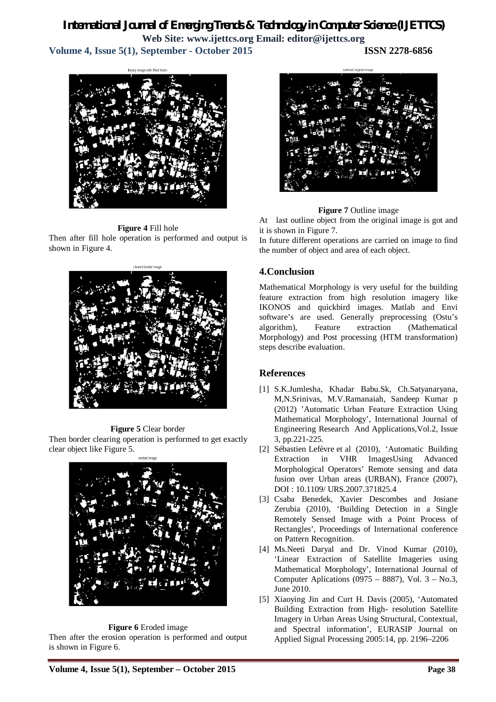# *International Journal of Emerging Trends & Technology in Computer Science (IJETTCS)* **Web Site: www.ijettcs.org Email: editor@ijettcs.org**

**Volume 4, Issue 5(1), September - October 2015 ISSN 2278-6856**

### **Figure 4** Fill hole

Then after fill hole operation is performed and output is shown in Figure 4.



### **Figure 5** Clear border

Then border clearing operation is performed to get exactly clear object like Figure 5.



#### **Figure 6** Eroded image

Then after the erosion operation is performed and output is shown in Figure 6.

### **Figure 7** Outline image

At last outline object from the original image is got and it is shown in Figure 7.

In future different operations are carried on image to find the number of object and area of each object.

## **4.Conclusion**

Mathematical Morphology is very useful for the building feature extraction from high resolution imagery like IKONOS and quickbird images. Matlab and Envi software's are used. Generally preprocessing (Ostu's algorithm), Feature extraction (Mathematical Morphology) and Post processing (HTM transformation) steps describe evaluation.

## **References**

- [1] S.K.Jumlesha, Khadar Babu.Sk, Ch.Satyanaryana, M,N.Srinivas, M.V.Ramanaiah, Sandeep Kumar p (2012) 'Automatic Urban Feature Extraction Using Mathematical Morphology', International Journal of Engineering Research And Applications,Vol.2, Issue 3, pp.221-225.
- [2] Sébastien Lefèvre et al (2010), 'Automatic Building Extraction in VHR ImagesUsing Advanced Morphological Operators' Remote sensing and data fusion over Urban areas (URBAN), France (2007), DOI : 10.1109/ URS.2007.371825.4
- [3] Csaba Benedek, Xavier Descombes and Josiane Zerubia (2010), 'Building Detection in a Single Remotely Sensed Image with a Point Process of Rectangles', Proceedings of International conference on Pattern Recognition.
- [4] Ms.Neeti Daryal and Dr. Vinod Kumar (2010), 'Linear Extraction of Satellite Imageries using Mathematical Morphology', International Journal of Computer Aplications (0975 – 8887), Vol.  $3 - No.3$ , June 2010.
- [5] Xiaoying Jin and Curt H. Davis (2005), 'Automated Building Extraction from High- resolution Satellite Imagery in Urban Areas Using Structural, Contextual, and Spectral information', EURASIP Journal on Applied Signal Processing 2005:14, pp. 2196–2206

**Volume 4, Issue 5(1), September – October 2015 Page 38**